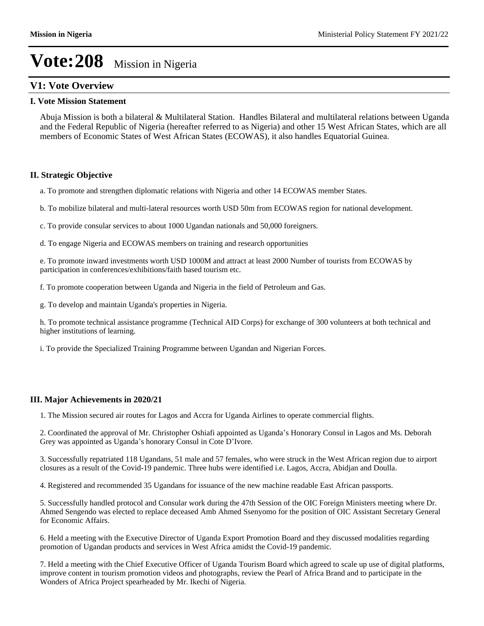## **V1: Vote Overview**

#### **I. Vote Mission Statement**

Abuja Mission is both a bilateral & Multilateral Station. Handles Bilateral and multilateral relations between Uganda and the Federal Republic of Nigeria (hereafter referred to as Nigeria) and other 15 West African States, which are all members of Economic States of West African States (ECOWAS), it also handles Equatorial Guinea.

#### **II. Strategic Objective**

a. To promote and strengthen diplomatic relations with Nigeria and other 14 ECOWAS member States.

b. To mobilize bilateral and multi-lateral resources worth USD 50m from ECOWAS region for national development.

c. To provide consular services to about 1000 Ugandan nationals and 50,000 foreigners.

d. To engage Nigeria and ECOWAS members on training and research opportunities

e. To promote inward investments worth USD 1000M and attract at least 2000 Number of tourists from ECOWAS by participation in conferences/exhibitions/faith based tourism etc.

f. To promote cooperation between Uganda and Nigeria in the field of Petroleum and Gas.

g. To develop and maintain Uganda's properties in Nigeria.

h. To promote technical assistance programme (Technical AID Corps) for exchange of 300 volunteers at both technical and higher institutions of learning.

i. To provide the Specialized Training Programme between Ugandan and Nigerian Forces.

## **III. Major Achievements in 2020/21**

1. The Mission secured air routes for Lagos and Accra for Uganda Airlines to operate commercial flights.

2. Coordinated the approval of Mr. Christopher Oshiafi appointed as Uganda's Honorary Consul in Lagos and Ms. Deborah Grey was appointed as Uganda's honorary Consul in Cote D'Ivore.

3. Successfully repatriated 118 Ugandans, 51 male and 57 females, who were struck in the West African region due to airport closures as a result of the Covid-19 pandemic. Three hubs were identified i.e. Lagos, Accra, Abidjan and Doulla.

4. Registered and recommended 35 Ugandans for issuance of the new machine readable East African passports.

5. Successfully handled protocol and Consular work during the 47th Session of the OIC Foreign Ministers meeting where Dr. Ahmed Sengendo was elected to replace deceased Amb Ahmed Ssenyomo for the position of OIC Assistant Secretary General for Economic Affairs.

6. Held a meeting with the Executive Director of Uganda Export Promotion Board and they discussed modalities regarding promotion of Ugandan products and services in West Africa amidst the Covid-19 pandemic.

7. Held a meeting with the Chief Executive Officer of Uganda Tourism Board which agreed to scale up use of digital platforms, improve content in tourism promotion videos and photographs, review the Pearl of Africa Brand and to participate in the Wonders of Africa Project spearheaded by Mr. Ikechi of Nigeria.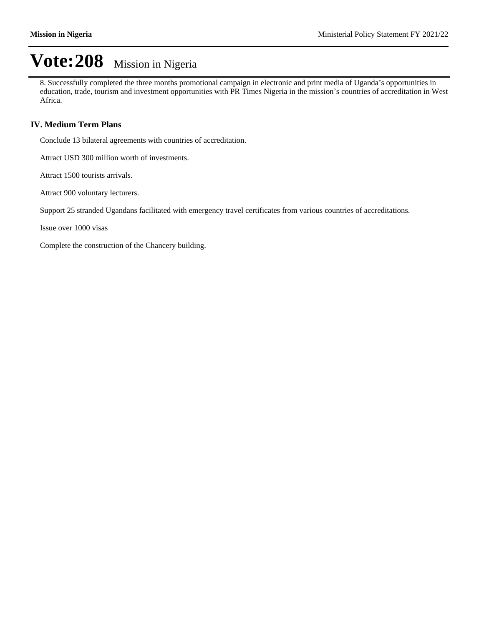8. Successfully completed the three months promotional campaign in electronic and print media of Uganda's opportunities in education, trade, tourism and investment opportunities with PR Times Nigeria in the mission's countries of accreditation in West Africa.

## **IV. Medium Term Plans**

Conclude 13 bilateral agreements with countries of accreditation.

Attract USD 300 million worth of investments.

Attract 1500 tourists arrivals.

Attract 900 voluntary lecturers.

Support 25 stranded Ugandans facilitated with emergency travel certificates from various countries of accreditations.

Issue over 1000 visas

Complete the construction of the Chancery building.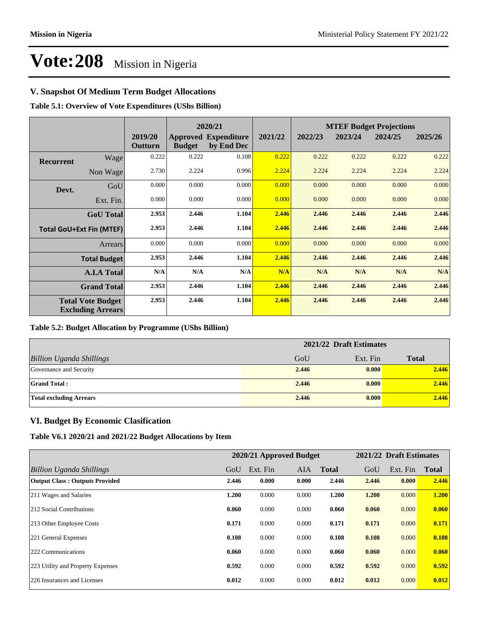## **V. Snapshot Of Medium Term Budget Allocations**

**Table 5.1: Overview of Vote Expenditures (UShs Billion)**

|                                 |                                                      |                    | 2020/21       |                                           |         |         | <b>MTEF Budget Projections</b> |         |         |
|---------------------------------|------------------------------------------------------|--------------------|---------------|-------------------------------------------|---------|---------|--------------------------------|---------|---------|
|                                 |                                                      | 2019/20<br>Outturn | <b>Budget</b> | <b>Approved Expenditure</b><br>by End Dec | 2021/22 | 2022/23 | 2023/24                        | 2024/25 | 2025/26 |
| <b>Recurrent</b>                | Wage                                                 | 0.222              | 0.222         | 0.108                                     | 0.222   | 0.222   | 0.222                          | 0.222   | 0.222   |
|                                 | Non Wage                                             | 2.730              | 2.224         | 0.996                                     | 2.224   | 2.224   | 2.224                          | 2.224   | 2.224   |
| Devt.                           | GoU                                                  | 0.000              | 0.000         | 0.000                                     | 0.000   | 0.000   | 0.000                          | 0.000   | 0.000   |
|                                 | Ext. Fin.                                            | 0.000              | 0.000         | 0.000                                     | 0.000   | 0.000   | 0.000                          | 0.000   | 0.000   |
|                                 | <b>GoU</b> Total                                     | 2.953              | 2.446         | 1.104                                     | 2.446   | 2.446   | 2.446                          | 2.446   | 2.446   |
| <b>Total GoU+Ext Fin (MTEF)</b> |                                                      | 2.953              | 2.446         | 1.104                                     | 2.446   | 2.446   | 2.446                          | 2.446   | 2.446   |
|                                 | Arrears                                              | 0.000              | 0.000         | 0.000                                     | 0.000   | 0.000   | 0.000                          | 0.000   | 0.000   |
|                                 | <b>Total Budget</b>                                  | 2.953              | 2.446         | 1.104                                     | 2.446   | 2.446   | 2.446                          | 2.446   | 2.446   |
|                                 | <b>A.I.A Total</b>                                   | N/A                | N/A           | N/A                                       | N/A     | N/A     | N/A                            | N/A     | N/A     |
|                                 | <b>Grand Total</b>                                   | 2.953              | 2.446         | 1.104                                     | 2.446   | 2.446   | 2.446                          | 2.446   | 2.446   |
|                                 | <b>Total Vote Budget</b><br><b>Excluding Arrears</b> | 2.953              | 2.446         | 1.104                                     | 2.446   | 2.446   | 2.446                          | 2.446   | 2.446   |

## **Table 5.2: Budget Allocation by Programme (UShs Billion)**

|                                 | 2021/22 Draft Estimates |          |              |  |  |
|---------------------------------|-------------------------|----------|--------------|--|--|
| <b>Billion Uganda Shillings</b> | GoU                     | Ext. Fin | <b>Total</b> |  |  |
| Governance and Security         | 2.446                   | 0.000    | 2.446        |  |  |
| <b>Grand Total:</b>             | 2.446                   | 0.000    | 2.446        |  |  |
| <b>Total excluding Arrears</b>  | 2.446                   | 0.000    | 2.446        |  |  |

## **VI. Budget By Economic Clasification**

**Table V6.1 2020/21 and 2021/22 Budget Allocations by Item**

|                                       |       | 2020/21 Approved Budget |            |              |       | 2021/22 Draft Estimates |              |
|---------------------------------------|-------|-------------------------|------------|--------------|-------|-------------------------|--------------|
| Billion Uganda Shillings              | GoU   | Ext. Fin                | <b>AIA</b> | <b>Total</b> | GoU   | Ext. Fin                | <b>Total</b> |
| <b>Output Class: Outputs Provided</b> | 2.446 | 0.000                   | 0.000      | 2.446        | 2.446 | 0.000                   | 2.446        |
| 211 Wages and Salaries                | 1.200 | 0.000                   | 0.000      | 1.200        | 1.200 | 0.000                   | 1.200        |
| 212 Social Contributions              | 0.060 | 0.000                   | 0.000      | 0.060        | 0.060 | 0.000                   | 0.060        |
| 213 Other Employee Costs              | 0.171 | 0.000                   | 0.000      | 0.171        | 0.171 | 0.000                   | 0.171        |
| 221 General Expenses                  | 0.108 | 0.000                   | 0.000      | 0.108        | 0.108 | 0.000                   | 0.108        |
| 222 Communications                    | 0.060 | 0.000                   | 0.000      | 0.060        | 0.060 | 0.000                   | 0.060        |
| 223 Utility and Property Expenses     | 0.592 | 0.000                   | 0.000      | 0.592        | 0.592 | 0.000                   | 0.592        |
| 226 Insurances and Licenses           | 0.012 | 0.000                   | 0.000      | 0.012        | 0.012 | 0.000                   | 0.012        |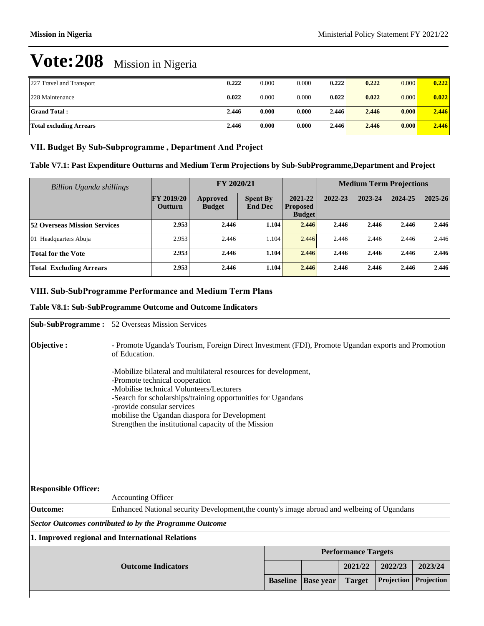| 227 Travel and Transport       | 0.222 | 0.000 | 0.000 | 0.222 | 0.222 | 0.000 | 0.222 |
|--------------------------------|-------|-------|-------|-------|-------|-------|-------|
| 228 Maintenance                | 0.022 | 0.000 | 0.000 | 0.022 | 0.022 | 0.000 | 0.022 |
| <b>Grand Total:</b>            | 2.446 | 0.000 | 0.000 | 2.446 | 2.446 | 0.000 | 2.446 |
| <b>Total excluding Arrears</b> | 2.446 | 0.000 | 0.000 | 2.446 | 2.446 | 0.000 | 2.446 |

### VII. Budget By Sub-Subprogramme, Department And Project

### **Table V7.1: Past Expenditure Outturns and Medium Term Projections by Sub-SubProgramme,Department and Project**

| Billion Uganda shillings            |                                     | FY 2020/21                |                                   |                                             |         | <b>Medium Term Projections</b> |         |             |
|-------------------------------------|-------------------------------------|---------------------------|-----------------------------------|---------------------------------------------|---------|--------------------------------|---------|-------------|
|                                     | <b>FY 2019/20</b><br><b>Outturn</b> | Approved<br><b>Budget</b> | <b>Spent By</b><br><b>End Dec</b> | 2021-22<br><b>Proposed</b><br><b>Budget</b> | 2022-23 | 2023-24                        | 2024-25 | $2025 - 26$ |
| <b>52 Overseas Mission Services</b> | 2.953                               | 2.446                     | 1.104                             | 2.446                                       | 2.446   | 2.446                          | 2.446   | 2.446       |
| 01 Headquarters Abuja               | 2.953                               | 2.446                     | 1.104                             | 2.446                                       | 2.446   | 2.446                          | 2.446   | 2.446       |
| <b>Total for the Vote</b>           | 2.953                               | 2.446                     | 1.104                             | 2.446                                       | 2.446   | 2.446                          | 2.446   | 2.446       |
| <b>Total Excluding Arrears</b>      | 2.953                               | 2.446                     | 1.104                             | 2.446                                       | 2.446   | 2.446                          | 2.446   | 2.446       |

## **VIII. Sub-SubProgramme Performance and Medium Term Plans**

#### **Table V8.1: Sub-SubProgramme Outcome and Outcome Indicators**

|                             | <b>Sub-SubProgramme:</b> 52 Overseas Mission Services                                                                                                                                                                                                                                                                                                |                                                                                                    |                  |                            |            |            |  |  |
|-----------------------------|------------------------------------------------------------------------------------------------------------------------------------------------------------------------------------------------------------------------------------------------------------------------------------------------------------------------------------------------------|----------------------------------------------------------------------------------------------------|------------------|----------------------------|------------|------------|--|--|
| Objective :                 | of Education.                                                                                                                                                                                                                                                                                                                                        | - Promote Uganda's Tourism, Foreign Direct Investment (FDI), Promote Ugandan exports and Promotion |                  |                            |            |            |  |  |
|                             | -Mobilize bilateral and multilateral resources for development,<br>-Promote technical cooperation<br>-Mobilise technical Volunteers/Lecturers<br>-Search for scholarships/training opportunities for Ugandans<br>-provide consular services<br>mobilise the Ugandan diaspora for Development<br>Strengthen the institutional capacity of the Mission |                                                                                                    |                  |                            |            |            |  |  |
| <b>Responsible Officer:</b> |                                                                                                                                                                                                                                                                                                                                                      |                                                                                                    |                  |                            |            |            |  |  |
|                             | <b>Accounting Officer</b>                                                                                                                                                                                                                                                                                                                            |                                                                                                    |                  |                            |            |            |  |  |
| <b>Outcome:</b>             | Enhanced National security Development, the county's image abroad and welbeing of Ugandans                                                                                                                                                                                                                                                           |                                                                                                    |                  |                            |            |            |  |  |
|                             | <b>Sector Outcomes contributed to by the Programme Outcome</b>                                                                                                                                                                                                                                                                                       |                                                                                                    |                  |                            |            |            |  |  |
|                             | 1. Improved regional and International Relations                                                                                                                                                                                                                                                                                                     |                                                                                                    |                  |                            |            |            |  |  |
|                             |                                                                                                                                                                                                                                                                                                                                                      |                                                                                                    |                  | <b>Performance Targets</b> |            |            |  |  |
|                             | <b>Outcome Indicators</b>                                                                                                                                                                                                                                                                                                                            |                                                                                                    |                  | 2021/22                    | 2022/23    | 2023/24    |  |  |
|                             |                                                                                                                                                                                                                                                                                                                                                      | <b>Baseline</b>                                                                                    | <b>Base</b> year | <b>Target</b>              | Projection | Projection |  |  |
|                             |                                                                                                                                                                                                                                                                                                                                                      |                                                                                                    |                  |                            |            |            |  |  |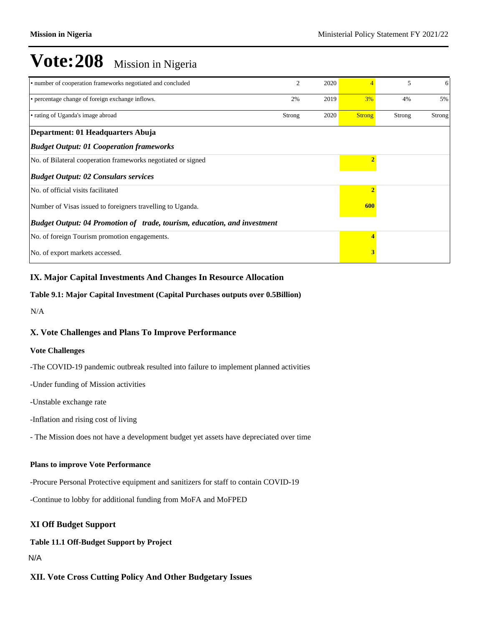| • number of cooperation frameworks negotiated and concluded              | $\mathfrak{D}$ | 2020 |               | 5      | 6      |
|--------------------------------------------------------------------------|----------------|------|---------------|--------|--------|
| • percentage change of foreign exchange inflows.                         | 2%             | 2019 | 3%            | 4%     | 5%     |
| • rating of Uganda's image abroad                                        | Strong         | 2020 | <b>Strong</b> | Strong | Strong |
| Department: 01 Headquarters Abuja                                        |                |      |               |        |        |
| <b>Budget Output: 01 Cooperation frameworks</b>                          |                |      |               |        |        |
| No. of Bilateral cooperation frameworks negotiated or signed             |                |      |               |        |        |
| <b>Budget Output: 02 Consulars services</b>                              |                |      |               |        |        |
| No. of official visits facilitated                                       |                |      |               |        |        |
| Number of Visas issued to foreigners travelling to Uganda.               |                |      | 600           |        |        |
| Budget Output: 04 Promotion of trade, tourism, education, and investment |                |      |               |        |        |
| No. of foreign Tourism promotion engagements.                            |                |      |               |        |        |
| No. of export markets accessed.                                          |                |      |               |        |        |

## **IX. Major Capital Investments And Changes In Resource Allocation**

#### **Table 9.1: Major Capital Investment (Capital Purchases outputs over 0.5Billion)**

N/A

## **X. Vote Challenges and Plans To Improve Performance**

#### **Vote Challenges**

-The COVID-19 pandemic outbreak resulted into failure to implement planned activities

-Under funding of Mission activities

-Unstable exchange rate

-Inflation and rising cost of living

- The Mission does not have a development budget yet assets have depreciated over time

## **Plans to improve Vote Performance**

-Procure Personal Protective equipment and sanitizers for staff to contain COVID-19

-Continue to lobby for additional funding from MoFA and MoFPED

## **XI Off Budget Support**

#### **Table 11.1 Off-Budget Support by Project**

N/A

## **XII. Vote Cross Cutting Policy And Other Budgetary Issues**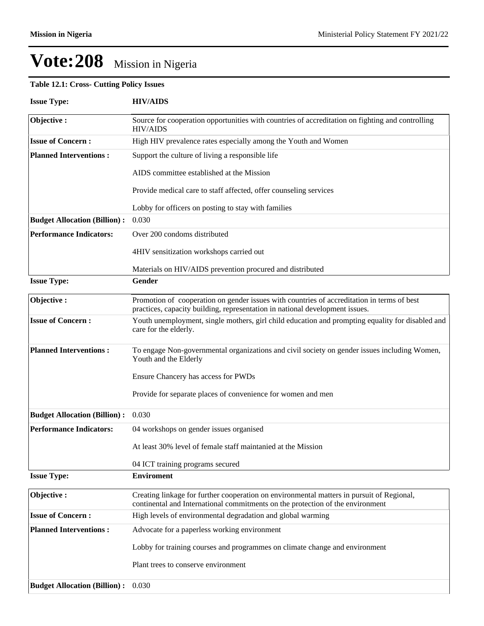## **Table 12.1: Cross- Cutting Policy Issues**

| <b>Issue Type:</b>                  | <b>HIV/AIDS</b>                                                                                                                                                             |
|-------------------------------------|-----------------------------------------------------------------------------------------------------------------------------------------------------------------------------|
| Objective:                          | Source for cooperation opportunities with countries of accreditation on fighting and controlling<br><b>HIV/AIDS</b>                                                         |
| <b>Issue of Concern:</b>            | High HIV prevalence rates especially among the Youth and Women                                                                                                              |
| <b>Planned Interventions:</b>       | Support the culture of living a responsible life                                                                                                                            |
|                                     | AIDS committee established at the Mission                                                                                                                                   |
|                                     | Provide medical care to staff affected, offer counseling services                                                                                                           |
|                                     | Lobby for officers on posting to stay with families                                                                                                                         |
| <b>Budget Allocation (Billion):</b> | 0.030                                                                                                                                                                       |
| <b>Performance Indicators:</b>      | Over 200 condoms distributed                                                                                                                                                |
|                                     | 4HIV sensitization workshops carried out                                                                                                                                    |
|                                     | Materials on HIV/AIDS prevention procured and distributed                                                                                                                   |
| <b>Issue Type:</b>                  | Gender                                                                                                                                                                      |
| Objective:                          | Promotion of cooperation on gender issues with countries of accreditation in terms of best<br>practices, capacity building, representation in national development issues.  |
| <b>Issue of Concern:</b>            | Youth unemployment, single mothers, girl child education and prompting equality for disabled and<br>care for the elderly.                                                   |
| <b>Planned Interventions:</b>       | To engage Non-governmental organizations and civil society on gender issues including Women,<br>Youth and the Elderly                                                       |
|                                     | Ensure Chancery has access for PWDs                                                                                                                                         |
|                                     | Provide for separate places of convenience for women and men                                                                                                                |
| <b>Budget Allocation (Billion):</b> | 0.030                                                                                                                                                                       |
| <b>Performance Indicators:</b>      | 04 workshops on gender issues organised                                                                                                                                     |
|                                     | At least 30% level of female staff maintanied at the Mission                                                                                                                |
|                                     | 04 ICT training programs secured                                                                                                                                            |
| <b>Issue Type:</b>                  | <b>Enviroment</b>                                                                                                                                                           |
| Objective:                          | Creating linkage for further cooperation on environmental matters in pursuit of Regional,<br>continental and International commitments on the protection of the environment |
| <b>Issue of Concern:</b>            | High levels of environmental degradation and global warming                                                                                                                 |
| <b>Planned Interventions:</b>       | Advocate for a paperless working environment                                                                                                                                |
|                                     | Lobby for training courses and programmes on climate change and environment                                                                                                 |
|                                     | Plant trees to conserve environment                                                                                                                                         |
| <b>Budget Allocation (Billion):</b> | 0.030                                                                                                                                                                       |
|                                     |                                                                                                                                                                             |